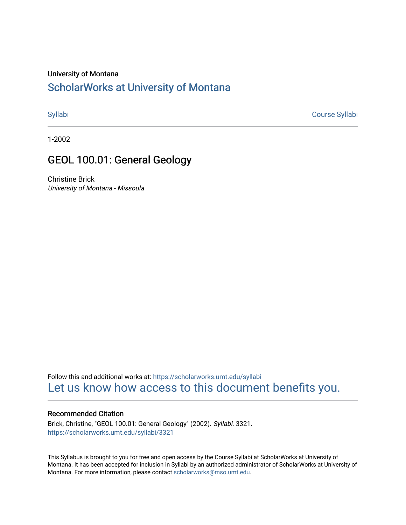#### University of Montana

# [ScholarWorks at University of Montana](https://scholarworks.umt.edu/)

[Syllabi](https://scholarworks.umt.edu/syllabi) [Course Syllabi](https://scholarworks.umt.edu/course_syllabi) 

1-2002

## GEOL 100.01: General Geology

Christine Brick University of Montana - Missoula

Follow this and additional works at: [https://scholarworks.umt.edu/syllabi](https://scholarworks.umt.edu/syllabi?utm_source=scholarworks.umt.edu%2Fsyllabi%2F3321&utm_medium=PDF&utm_campaign=PDFCoverPages)  [Let us know how access to this document benefits you.](https://goo.gl/forms/s2rGfXOLzz71qgsB2) 

#### Recommended Citation

Brick, Christine, "GEOL 100.01: General Geology" (2002). Syllabi. 3321. [https://scholarworks.umt.edu/syllabi/3321](https://scholarworks.umt.edu/syllabi/3321?utm_source=scholarworks.umt.edu%2Fsyllabi%2F3321&utm_medium=PDF&utm_campaign=PDFCoverPages)

This Syllabus is brought to you for free and open access by the Course Syllabi at ScholarWorks at University of Montana. It has been accepted for inclusion in Syllabi by an authorized administrator of ScholarWorks at University of Montana. For more information, please contact [scholarworks@mso.umt.edu.](mailto:scholarworks@mso.umt.edu)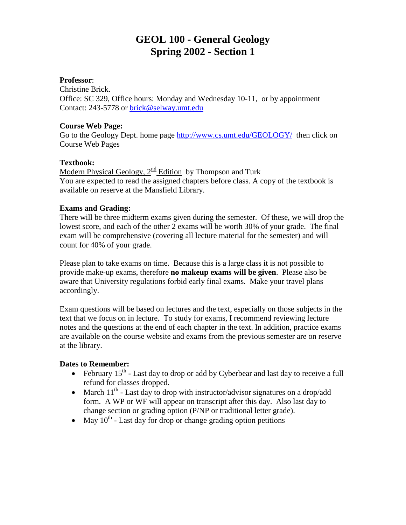# **GEOL 100 - General Geology Spring 2002 - Section 1**

#### **Professor**:

Christine Brick. Office: SC 329, Office hours: Monday and Wednesday 10-11, or by appointment Contact: 243-5778 or [brick@selway.umt.edu](mailto:brick@selway.umt.edu)

#### **Course Web Page:**

Go to the Geology Dept. home page<http://www.cs.umt.edu/GEOLOGY/>then click on Course Web Pages

### **Textbook:**

Modern Physical Geology,  $2^{\text{nd}}$  Edition by Thompson and Turk You are expected to read the assigned chapters before class. A copy of the textbook is available on reserve at the Mansfield Library.

#### **Exams and Grading:**

There will be three midterm exams given during the semester. Of these, we will drop the lowest score, and each of the other 2 exams will be worth 30% of your grade. The final exam will be comprehensive (covering all lecture material for the semester) and will count for 40% of your grade.

Please plan to take exams on time. Because this is a large class it is not possible to provide make-up exams, therefore **no makeup exams will be given**. Please also be aware that University regulations forbid early final exams. Make your travel plans accordingly.

Exam questions will be based on lectures and the text, especially on those subjects in the text that we focus on in lecture. To study for exams, I recommend reviewing lecture notes and the questions at the end of each chapter in the text. In addition, practice exams are available on the course website and exams from the previous semester are on reserve at the library.

#### **Dates to Remember:**

- February  $15^{th}$  Last day to drop or add by Cyberbear and last day to receive a full refund for classes dropped.
- March  $11<sup>th</sup>$  Last day to drop with instructor/advisor signatures on a drop/add form. A WP or WF will appear on transcript after this day. Also last day to change section or grading option (P/NP or traditional letter grade).
- May  $10^{th}$  Last day for drop or change grading option petitions